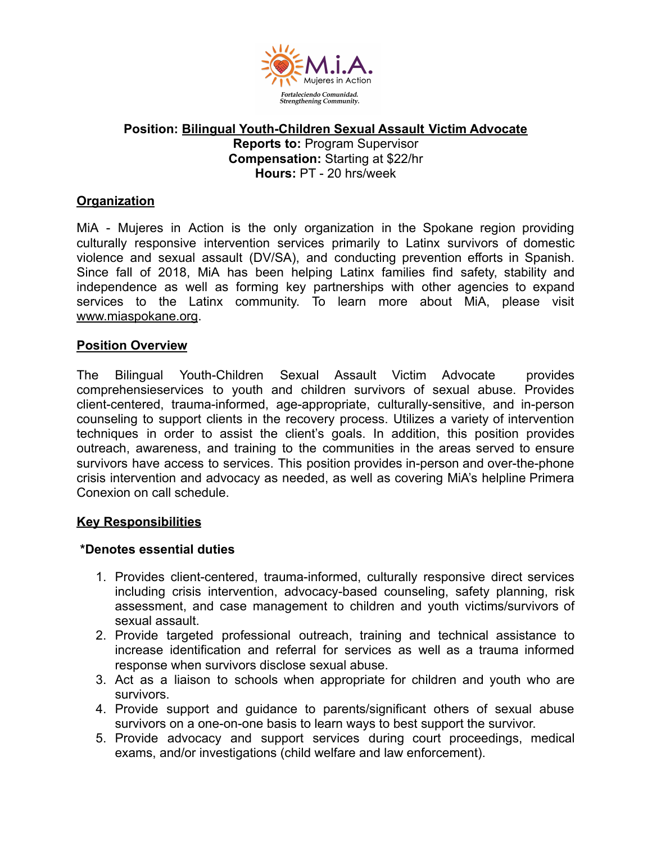

### **Position: Bilingual Youth-Children Sexual Assault Victim Advocate Reports to:** Program Supervisor **Compensation:** Starting at \$22/hr **Hours:** PT - 20 hrs/week

## **Organization**

MiA - Mujeres in Action is the only organization in the Spokane region providing culturally responsive intervention services primarily to Latinx survivors of domestic violence and sexual assault (DV/SA), and conducting prevention efforts in Spanish. Since fall of 2018, MiA has been helping Latinx families find safety, stability and independence as well as forming key partnerships with other agencies to expand services to the Latinx community. To learn more about MiA, please visit www.miaspokane.org.

#### **Position Overview**

The Bilingual Youth-Children Sexual Assault Victim Advocate provides comprehensieservices to youth and children survivors of sexual abuse. Provides client-centered, trauma-informed, age-appropriate, culturally-sensitive, and in-person counseling to support clients in the recovery process. Utilizes a variety of intervention techniques in order to assist the client's goals. In addition, this position provides outreach, awareness, and training to the communities in the areas served to ensure survivors have access to services. This position provides in-person and over-the-phone crisis intervention and advocacy as needed, as well as covering MiA's helpline Primera Conexion on call schedule.

#### **Key Responsibilities**

### **\*Denotes essential duties**

- 1. Provides client-centered, trauma-informed, culturally responsive direct services including crisis intervention, advocacy-based counseling, safety planning, risk assessment, and case management to children and youth victims/survivors of sexual assault.
- 2. Provide targeted professional outreach, training and technical assistance to increase identification and referral for services as well as a trauma informed response when survivors disclose sexual abuse.
- 3. Act as a liaison to schools when appropriate for children and youth who are survivors.
- 4. Provide support and guidance to parents/significant others of sexual abuse survivors on a one-on-one basis to learn ways to best support the survivor.
- 5. Provide advocacy and support services during court proceedings, medical exams, and/or investigations (child welfare and law enforcement).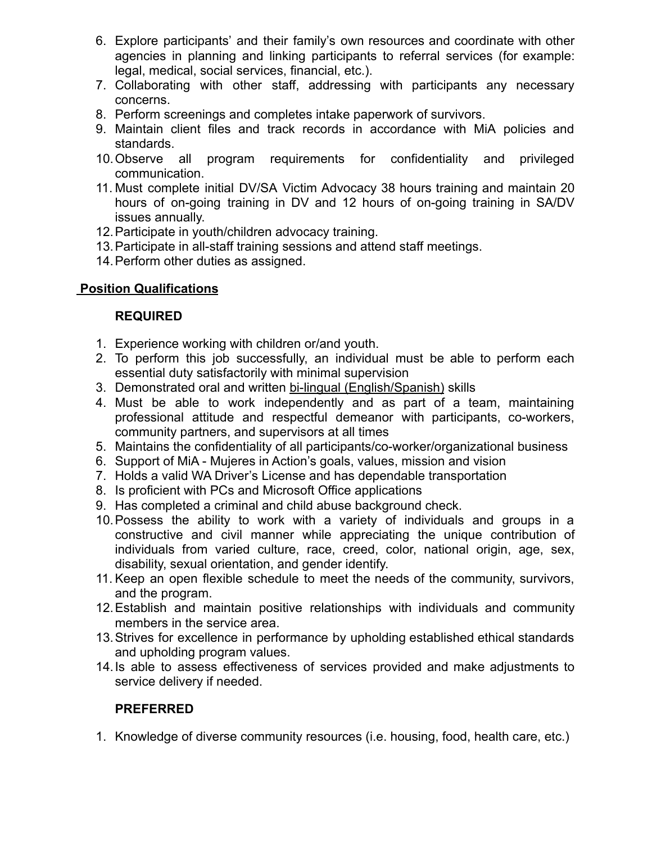- 6. Explore participants' and their family's own resources and coordinate with other agencies in planning and linking participants to referral services (for example: legal, medical, social services, financial, etc.).
- 7. Collaborating with other staff, addressing with participants any necessary concerns.
- 8. Perform screenings and completes intake paperwork of survivors.
- 9. Maintain client files and track records in accordance with MiA policies and standards.
- 10.Observe all program requirements for confidentiality and privileged communication.
- 11. Must complete initial DV/SA Victim Advocacy 38 hours training and maintain 20 hours of on-going training in DV and 12 hours of on-going training in SA/DV issues annually.
- 12.Participate in youth/children advocacy training.
- 13.Participate in all-staff training sessions and attend staff meetings.
- 14.Perform other duties as assigned.

# **Position Qualifications**

### **REQUIRED**

- 1. Experience working with children or/and youth.
- 2. To perform this job successfully, an individual must be able to perform each essential duty satisfactorily with minimal supervision
- 3. Demonstrated oral and written bi-lingual (English/Spanish) skills
- 4. Must be able to work independently and as part of a team, maintaining professional attitude and respectful demeanor with participants, co-workers, community partners, and supervisors at all times
- 5. Maintains the confidentiality of all participants/co-worker/organizational business
- 6. Support of MiA Mujeres in Action's goals, values, mission and vision
- 7. Holds a valid WA Driver's License and has dependable transportation
- 8. Is proficient with PCs and Microsoft Office applications
- 9. Has completed a criminal and child abuse background check.
- 10.Possess the ability to work with a variety of individuals and groups in a constructive and civil manner while appreciating the unique contribution of individuals from varied culture, race, creed, color, national origin, age, sex, disability, sexual orientation, and gender identify.
- 11. Keep an open flexible schedule to meet the needs of the community, survivors, and the program.
- 12.Establish and maintain positive relationships with individuals and community members in the service area.
- 13.Strives for excellence in performance by upholding established ethical standards and upholding program values.
- 14.Is able to assess effectiveness of services provided and make adjustments to service delivery if needed.

### **PREFERRED**

1. Knowledge of diverse community resources (i.e. housing, food, health care, etc.)